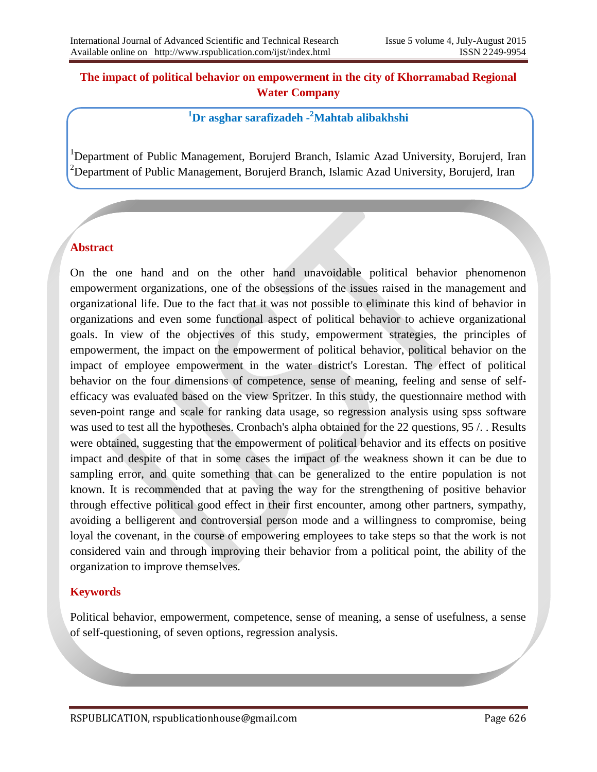## **The impact of political behavior on empowerment in the city of Khorramabad Regional Water Company**

# **<sup>1</sup>Dr asghar sarafizadeh - <sup>2</sup>Mahtab alibakhshi**

<sup>1</sup>Department of Public Management, Borujerd Branch, Islamic Azad University, Borujerd, Iran <sup>2</sup>Department of Public Management, Borujerd Branch, Islamic Azad University, Borujerd, Iran

## **Abstract**

On the one hand and on the other hand unavoidable political behavior phenomenon empowerment organizations, one of the obsessions of the issues raised in the management and organizational life. Due to the fact that it was not possible to eliminate this kind of behavior in organizations and even some functional aspect of political behavior to achieve organizational goals. In view of the objectives of this study, empowerment strategies, the principles of empowerment, the impact on the empowerment of political behavior, political behavior on the impact of employee empowerment in the water district's Lorestan. The effect of political behavior on the four dimensions of competence, sense of meaning, feeling and sense of selfefficacy was evaluated based on the view Spritzer. In this study, the questionnaire method with seven-point range and scale for ranking data usage, so regression analysis using spss software was used to test all the hypotheses. Cronbach's alpha obtained for the 22 questions, 95 /. . Results were obtained, suggesting that the empowerment of political behavior and its effects on positive impact and despite of that in some cases the impact of the weakness shown it can be due to sampling error, and quite something that can be generalized to the entire population is not known. It is recommended that at paving the way for the strengthening of positive behavior through effective political good effect in their first encounter, among other partners, sympathy, avoiding a belligerent and controversial person mode and a willingness to compromise, being loyal the covenant, in the course of empowering employees to take steps so that the work is not considered vain and through improving their behavior from a political point, the ability of the organization to improve themselves.

## **Keywords**

Political behavior, empowerment, competence, sense of meaning, a sense of usefulness, a sense of self-questioning, of seven options, regression analysis.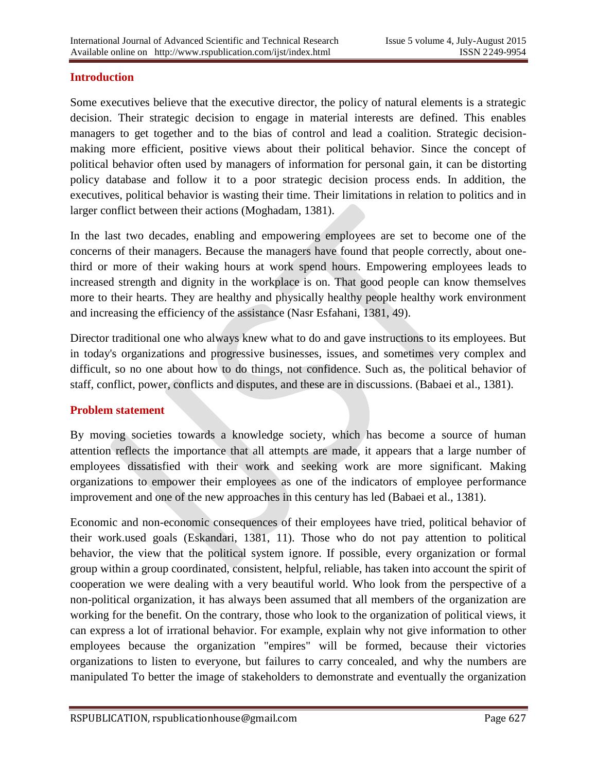#### **Introduction**

Some executives believe that the executive director, the policy of natural elements is a strategic decision. Their strategic decision to engage in material interests are defined. This enables managers to get together and to the bias of control and lead a coalition. Strategic decisionmaking more efficient, positive views about their political behavior. Since the concept of political behavior often used by managers of information for personal gain, it can be distorting policy database and follow it to a poor strategic decision process ends. In addition, the executives, political behavior is wasting their time. Their limitations in relation to politics and in larger conflict between their actions (Moghadam, 1381).

In the last two decades, enabling and empowering employees are set to become one of the concerns of their managers. Because the managers have found that people correctly, about onethird or more of their waking hours at work spend hours. Empowering employees leads to increased strength and dignity in the workplace is on. That good people can know themselves more to their hearts. They are healthy and physically healthy people healthy work environment and increasing the efficiency of the assistance (Nasr Esfahani, 1381, 49).

Director traditional one who always knew what to do and gave instructions to its employees. But in today's organizations and progressive businesses, issues, and sometimes very complex and difficult, so no one about how to do things, not confidence. Such as, the political behavior of staff, conflict, power, conflicts and disputes, and these are in discussions. (Babaei et al., 1381).

#### **Problem statement**

By moving societies towards a knowledge society, which has become a source of human attention reflects the importance that all attempts are made, it appears that a large number of employees dissatisfied with their work and seeking work are more significant. Making organizations to empower their employees as one of the indicators of employee performance improvement and one of the new approaches in this century has led (Babaei et al., 1381).

Economic and non-economic consequences of their employees have tried, political behavior of their work.used goals (Eskandari, 1381, 11). Those who do not pay attention to political behavior, the view that the political system ignore. If possible, every organization or formal group within a group coordinated, consistent, helpful, reliable, has taken into account the spirit of cooperation we were dealing with a very beautiful world. Who look from the perspective of a non-political organization, it has always been assumed that all members of the organization are working for the benefit. On the contrary, those who look to the organization of political views, it can express a lot of irrational behavior. For example, explain why not give information to other employees because the organization "empires" will be formed, because their victories organizations to listen to everyone, but failures to carry concealed, and why the numbers are manipulated To better the image of stakeholders to demonstrate and eventually the organization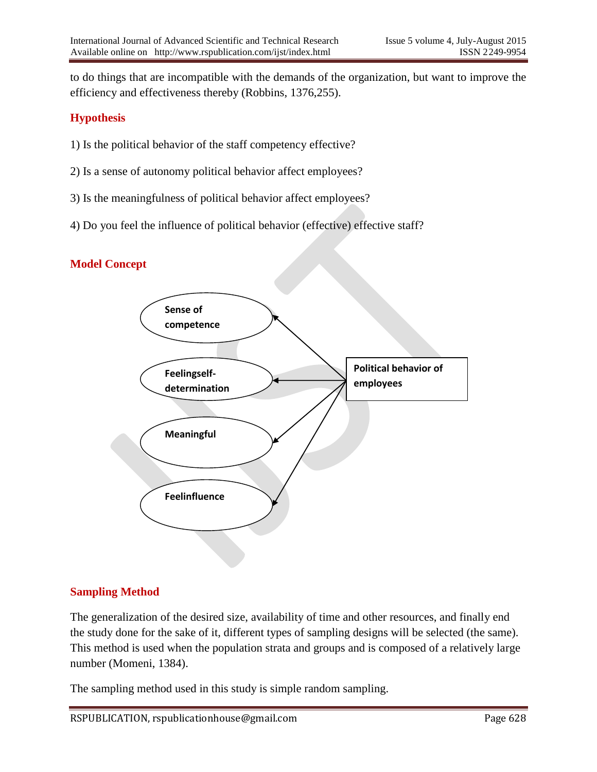to do things that are incompatible with the demands of the organization, but want to improve the efficiency and effectiveness thereby (Robbins, 1376,255).

## **Hypothesis**

- 1) Is the political behavior of the staff competency effective?
- 2) Is a sense of autonomy political behavior affect employees?
- 3) Is the meaningfulness of political behavior affect employees?
- 4) Do you feel the influence of political behavior (effective) effective staff?

## **Model Concept**



## **Sampling Method**

The generalization of the desired size, availability of time and other resources, and finally end the study done for the sake of it, different types of sampling designs will be selected (the same). This method is used when the population strata and groups and is composed of a relatively large number (Momeni, 1384).

The sampling method used in this study is simple random sampling.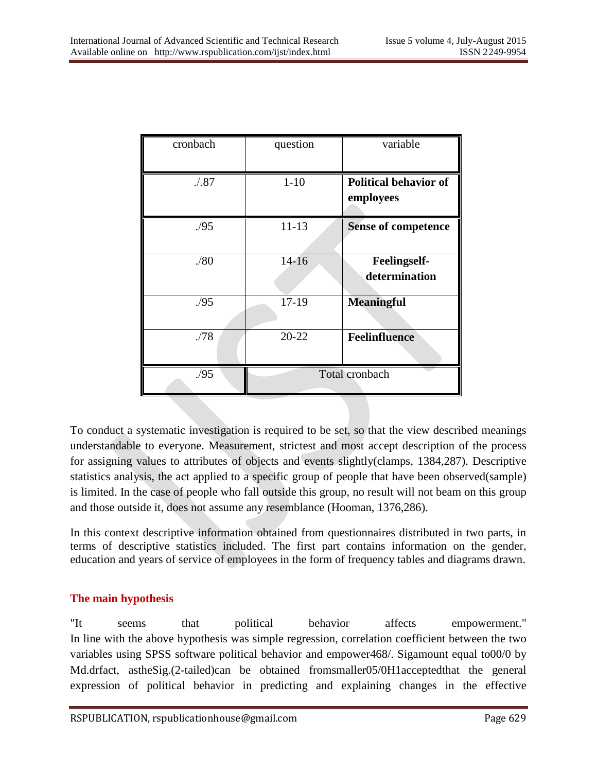| cronbach | question       | variable                                  |
|----------|----------------|-------------------------------------------|
| .1.87    | $1 - 10$       | <b>Political behavior of</b><br>employees |
| .95      | $11 - 13$      | <b>Sense of competence</b>                |
| ./80     | $14-16$        | <b>Feelingself-</b><br>determination      |
| .95      | $17-19$        | <b>Meaningful</b>                         |
| ./78     | $20 - 22$      | <b>Feelinfluence</b>                      |
| ./95     | Total cronbach |                                           |

To conduct a systematic investigation is required to be set, so that the view described meanings understandable to everyone. Measurement, strictest and most accept description of the process for assigning values to attributes of objects and events slightly(clamps, 1384,287). Descriptive statistics analysis, the act applied to a specific group of people that have been observed(sample) is limited. In the case of people who fall outside this group, no result will not beam on this group and those outside it, does not assume any resemblance (Hooman, 1376,286).

In this context descriptive information obtained from questionnaires distributed in two parts, in terms of descriptive statistics included. The first part contains information on the gender, education and years of service of employees in the form of frequency tables and diagrams drawn.

## **The main hypothesis**

"It seems that political behavior affects empowerment." In line with the above hypothesis was simple regression, correlation coefficient between the two variables using SPSS software political behavior and empower468/. Sigamount equal to00/0 by Md.drfact, astheSig.(2-tailed)can be obtained fromsmaller05/0H1acceptedthat the general expression of political behavior in predicting and explaining changes in the effective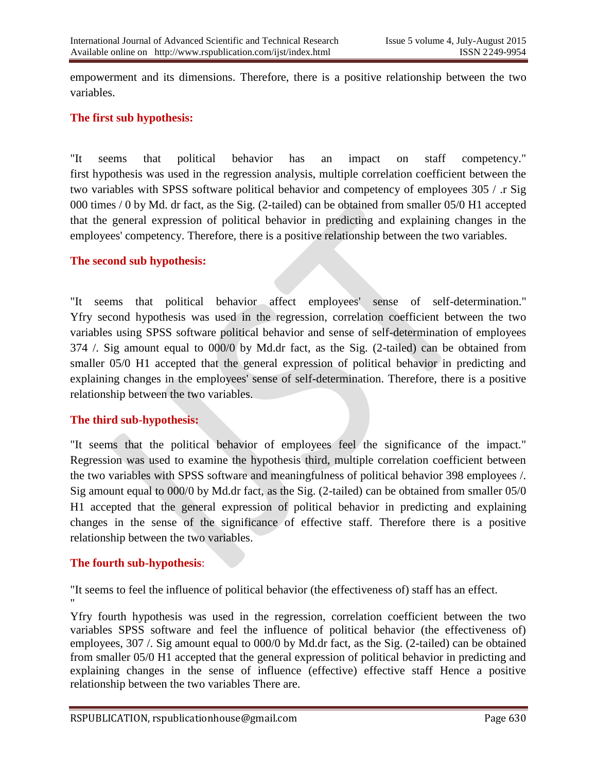empowerment and its dimensions. Therefore, there is a positive relationship between the two variables.

## **The first sub hypothesis:**

"It seems that political behavior has an impact on staff competency." first hypothesis was used in the regression analysis, multiple correlation coefficient between the two variables with SPSS software political behavior and competency of employees 305 / .r Sig 000 times / 0 by Md. dr fact, as the Sig. (2-tailed) can be obtained from smaller 05/0 H1 accepted that the general expression of political behavior in predicting and explaining changes in the employees' competency. Therefore, there is a positive relationship between the two variables.

#### **The second sub hypothesis:**

"It seems that political behavior affect employees' sense of self-determination." Yfry second hypothesis was used in the regression, correlation coefficient between the two variables using SPSS software political behavior and sense of self-determination of employees 374 /. Sig amount equal to 000/0 by Md.dr fact, as the Sig. (2-tailed) can be obtained from smaller 05/0 H1 accepted that the general expression of political behavior in predicting and explaining changes in the employees' sense of self-determination. Therefore, there is a positive relationship between the two variables.

#### **The third sub-hypothesis:**

"It seems that the political behavior of employees feel the significance of the impact." Regression was used to examine the hypothesis third, multiple correlation coefficient between the two variables with SPSS software and meaningfulness of political behavior 398 employees /. Sig amount equal to 000/0 by Md.dr fact, as the Sig. (2-tailed) can be obtained from smaller 05/0 H1 accepted that the general expression of political behavior in predicting and explaining changes in the sense of the significance of effective staff. Therefore there is a positive relationship between the two variables.

## **The fourth sub-hypothesis**:

"It seems to feel the influence of political behavior (the effectiveness of) staff has an effect. "

Yfry fourth hypothesis was used in the regression, correlation coefficient between the two variables SPSS software and feel the influence of political behavior (the effectiveness of) employees, 307 /. Sig amount equal to 000/0 by Md.dr fact, as the Sig. (2-tailed) can be obtained from smaller 05/0 H1 accepted that the general expression of political behavior in predicting and explaining changes in the sense of influence (effective) effective staff Hence a positive relationship between the two variables There are.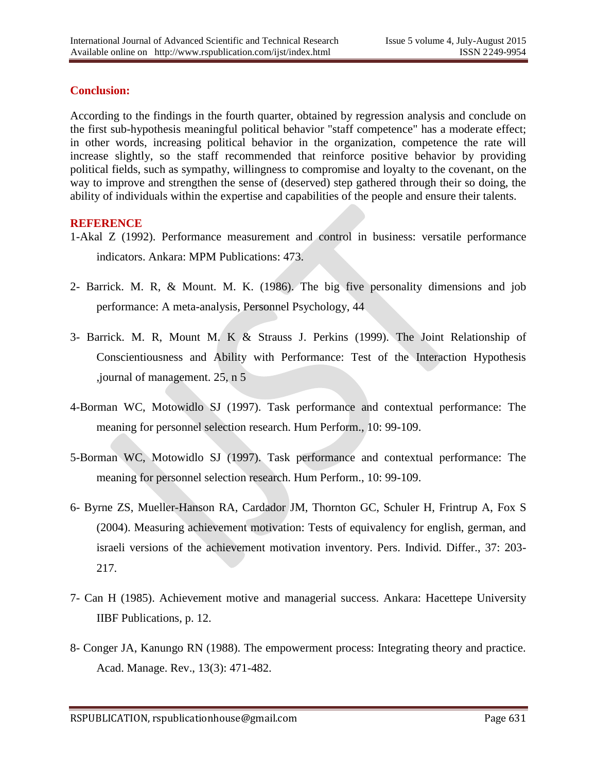#### **Conclusion:**

According to the findings in the fourth quarter, obtained by regression analysis and conclude on the first sub-hypothesis meaningful political behavior "staff competence" has a moderate effect; in other words, increasing political behavior in the organization, competence the rate will increase slightly, so the staff recommended that reinforce positive behavior by providing political fields, such as sympathy, willingness to compromise and loyalty to the covenant, on the way to improve and strengthen the sense of (deserved) step gathered through their so doing, the ability of individuals within the expertise and capabilities of the people and ensure their talents.

#### **REFERENCE**

- 1-Akal Z (1992). Performance measurement and control in business: versatile performance indicators. Ankara: MPM Publications: 473.
- 2- Barrick. M. R, & Mount. M. K. (1986). The big five personality dimensions and job performance: A meta-analysis, Personnel Psychology, 44
- 3- Barrick. M. R, Mount M. K & Strauss J. Perkins (1999). The Joint Relationship of Conscientiousness and Ability with Performance: Test of the Interaction Hypothesis ,journal of management. 25, n 5
- 4-Borman WC, Motowidlo SJ (1997). Task performance and contextual performance: The meaning for personnel selection research. Hum Perform., 10: 99-109.
- 5-Borman WC, Motowidlo SJ (1997). Task performance and contextual performance: The meaning for personnel selection research. Hum Perform., 10: 99-109.
- 6- Byrne ZS, Mueller-Hanson RA, Cardador JM, Thornton GC, Schuler H, Frintrup A, Fox S (2004). Measuring achievement motivation: Tests of equivalency for english, german, and israeli versions of the achievement motivation inventory. Pers. Individ. Differ., 37: 203- 217.
- 7- Can H (1985). Achievement motive and managerial success. Ankara: Hacettepe University IIBF Publications, p. 12.
- 8- Conger JA, Kanungo RN (1988). The empowerment process: Integrating theory and practice. Acad. Manage. Rev., 13(3): 471-482.